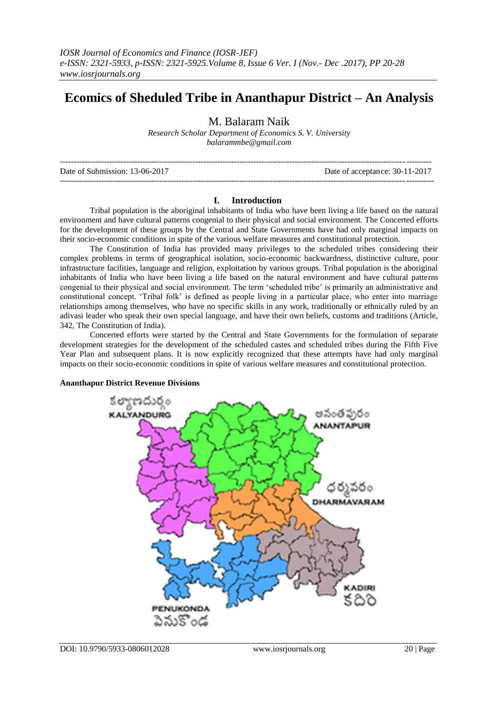# **Ecomics of Sheduled Tribe in Ananthapur District – An Analysis**

M. Balaram Naik

*Research Scholar Department of Economics S. V. University balarammbe@gmail.com*

| Date of Submission: 13-06-2017 | Date of acceptance: 30-11-2017 |
|--------------------------------|--------------------------------|
|                                |                                |

## **I. Introduction**

Tribal population is the aboriginal inhabitants of India who have been living a life based on the natural environment and have cultural patterns congenial to their physical and social environment. The Concerted efforts for the development of these groups by the Central and State Governments have had only marginal impacts on their socio-economic conditions in spite of the various welfare measures and constitutional protection.

The Constitution of India has provided many privileges to the scheduled tribes considering their complex problems in terms of geographical isolation, socio-economic backwardness, distinctive culture, poor infrastructure facilities, language and religion, exploitation by various groups. Tribal population is the aboriginal inhabitants of India who have been living a life based on the natural environment and have cultural patterns congenial to their physical and social environment. The term 'scheduled tribe' is primarily an administrative and constitutional concept. 'Tribal folk' is defined as people living in a particular place, who enter into marriage relationships among themselves, who have no specific skills in any work, traditionally or ethnically ruled by an adivasi leader who speak their own special language, and have their own beliefs, customs and traditions (Article, 342, The Constitution of India).

Concerted efforts were started by the Central and State Governments for the formulation of separate development strategies for the development of the scheduled castes and scheduled tribes during the Fifth Five Year Plan and subsequent plans. It is now explicitly recognized that these attempts have had only marginal impacts on their socio-economic conditions in spite of various welfare measures and constitutional protection.

## **Ananthapur District Revenue Divisions**

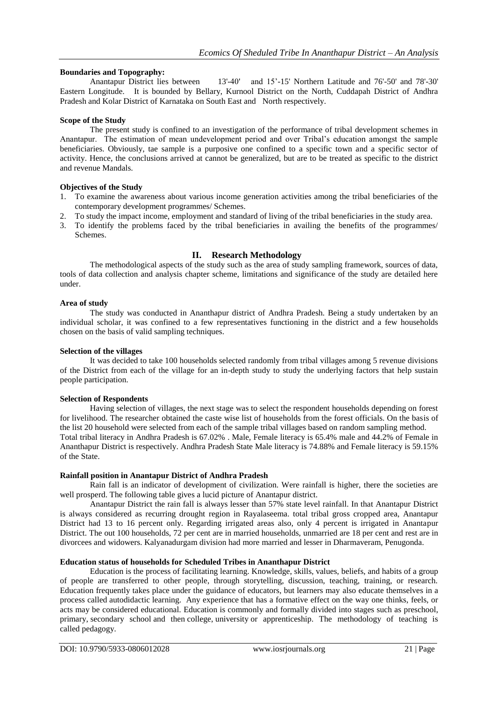## **Boundaries and Topography:**

Anantapur District lies between 13'-40' and 15'-15' Northern Latitude and 76'-50' and 78'-30' Eastern Longitude. It is bounded by Bellary, Kurnool District on the North, Cuddapah District of Andhra Pradesh and Kolar District of Karnataka on South East and North respectively.

## **Scope of the Study**

The present study is confined to an investigation of the performance of tribal development schemes in Anantapur. The estimation of mean undevelopment period and over Tribal's education amongst the sample beneficiaries. Obviously, tae sample is a purposive one confined to a specific town and a specific sector of activity. Hence, the conclusions arrived at cannot be generalized, but are to be treated as specific to the district and revenue Mandals.

## **Objectives of the Study**

- 1. To examine the awareness about various income generation activities among the tribal beneficiaries of the contemporary development programmes/ Schemes.
- 2. To study the impact income, employment and standard of living of the tribal beneficiaries in the study area.
- 3. To identify the problems faced by the tribal beneficiaries in availing the benefits of the programmes/ Schemes.

## **II. Research Methodology**

The methodological aspects of the study such as the area of study sampling framework, sources of data, tools of data collection and analysis chapter scheme, limitations and significance of the study are detailed here under.

#### **Area of study**

The study was conducted in Ananthapur district of Andhra Pradesh. Being a study undertaken by an individual scholar, it was confined to a few representatives functioning in the district and a few households chosen on the basis of valid sampling techniques.

## **Selection of the villages**

It was decided to take 100 households selected randomly from tribal villages among 5 revenue divisions of the District from each of the village for an in-depth study to study the underlying factors that help sustain people participation.

## **Selection of Respondents**

Having selection of villages, the next stage was to select the respondent households depending on forest for livelihood. The researcher obtained the caste wise list of households from the forest officials. On the basis of the list 20 household were selected from each of the sample tribal villages based on random sampling method. Total tribal literacy in Andhra Pradesh is 67.02% . Male, Female literacy is 65.4% male and 44.2% of Female in Ananthapur District is respectively. Andhra Pradesh State Male literacy is 74.88% and Female literacy is 59.15% of the State.

## **Rainfall position in Anantapur District of Andhra Pradesh**

Rain fall is an indicator of development of civilization. Were rainfall is higher, there the societies are well prosperd. The following table gives a lucid picture of Anantapur district.

Anantapur District the rain fall is always lesser than 57% state level rainfall. In that Anantapur District is always considered as recurring drought region in Rayalaseema. total tribal gross cropped area, Anantapur District had 13 to 16 percent only. Regarding irrigated areas also, only 4 percent is irrigated in Anantapur District. The out 100 households, 72 per cent are in married households, unmarried are 18 per cent and rest are in divorcees and widowers. Kalyanadurgam division had more married and lesser in Dharmaveram, Penugonda.

#### **Education status of households for Scheduled Tribes in Ananthapur District**

Education is the process of facilitating [learning.](https://en.wikipedia.org/wiki/Learning) [Knowledge,](https://en.wikipedia.org/wiki/Knowledge) [skills,](https://en.wikipedia.org/wiki/Skill) [values,](https://en.wikipedia.org/wiki/Values) [beliefs,](https://en.wikipedia.org/wiki/Belief) and [habits](https://en.wikipedia.org/wiki/Habit_(psychology)) of a group of people are transferred to other people, through storytelling, discussion, teaching, training, or research. Education frequently takes place under the guidance of educators, but learners may also educate themselves in a process called [autodidactic](https://en.wikipedia.org/wiki/Autodidacticism) learning. Any [experience](https://en.wikipedia.org/wiki/Experience) that has a formative effect on the way one thinks, feels, or acts may be considered educational. Education is commonly and formally divided into stages such as preschool, primary, [secondary school](https://en.wikipedia.org/wiki/Secondary_school) and then [college,](https://en.wikipedia.org/wiki/College) [university](https://en.wikipedia.org/wiki/University) or apprenticeship. The methodology of teaching is called [pedagogy.](https://en.wikipedia.org/wiki/Pedagogy)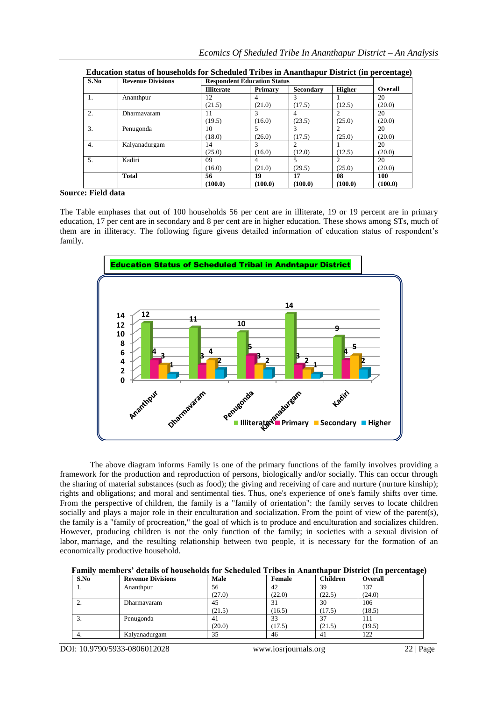| S.No | <b>Revenue Divisions</b> | <b>Respondent Education Status</b> |                |                  |               | $\bullet$ |  |
|------|--------------------------|------------------------------------|----------------|------------------|---------------|-----------|--|
|      |                          | <b>Illiterate</b>                  | <b>Primary</b> | <b>Secondary</b> | <b>Higher</b> | Overall   |  |
|      | Ananthpur                | 12                                 | 4              | 3                |               | 20        |  |
|      |                          | (21.5)                             | (21.0)         | (17.5)           | (12.5)        | (20.0)    |  |
| 2.   | Dharmayaram              | $\perp$                            | 3              | 4                |               | 20        |  |
|      |                          | (19.5)                             | (16.0)         | (23.5)           | (25.0)        | (20.0)    |  |
| 3.   | Penugonda                | 10                                 | 5              | 3                |               | 20        |  |
|      |                          | (18.0)                             | (26.0)         | (17.5)           | (25.0)        | (20.0)    |  |
| 4.   | Kalyanadurgam            | 14                                 | 3              | $\overline{c}$   |               | 20        |  |
|      |                          | (25.0)                             | (16.0)         | (12.0)           | (12.5)        | (20.0)    |  |
| 5.   | Kadiri                   | 09                                 | 4              | 5                |               | 20        |  |
|      |                          | (16.0)                             | (21.0)         | (29.5)           | (25.0)        | (20.0)    |  |
|      | <b>Total</b>             | 56                                 | 19             | 17               | 08            | 100       |  |
|      |                          | (100.0)                            | (100.0)        | (100.0)          | (100.0)       | (100.0)   |  |

**Education status of households for Scheduled Tribes in Ananthapur District (in percentage)**

## **Source: Field data**

The Table emphases that out of 100 households 56 per cent are in illiterate, 19 or 19 percent are in primary education, 17 per cent are in secondary and 8 per cent are in higher education. These shows among STs, much of them are in illiteracy. The following figure givens detailed information of education status of respondent's family.



The above diagram informs Family is one of the primary functions of the family involves providing a framework for the production and reproduction of persons, biologically and/or socially. This can occur through the sharing of material substances (such as food); the giving and receiving of care and nurture [\(nurture kinship\)](https://en.wikipedia.org/wiki/Nurture_kinship); rights and obligations; and moral and sentimental ties. Thus, one's experience of one's family shifts over time. From the perspective of [children,](https://en.wikipedia.org/wiki/Children) the family is a "family of orientation": the family serves to locate children socially and plays a major role in their [enculturation](https://en.wikipedia.org/wiki/Enculturation) and socialization. From the point of view of the parent(s), the family is a "family of procreation," the goal of which is to produce and enculturation and socializes children. However, producing children is not the only function of the family; in societies with a sexual division of labor, [marriage,](https://en.wikipedia.org/wiki/Marriage) and the resulting relationship between two people, it is necessary for the formation of an economically productive [household.](https://en.wikipedia.org/wiki/Household)

| Family members' details of households for Scheduled Tribes in Ananthapur District (In percentage) |  |
|---------------------------------------------------------------------------------------------------|--|
|---------------------------------------------------------------------------------------------------|--|

| S.No             | <b>Revenue Divisions</b> | Male   | Female | <b>Children</b> | <b>Overall</b> |
|------------------|--------------------------|--------|--------|-----------------|----------------|
| .,               | Ananthpur                | 56     | 42     | 39              | 137            |
|                  |                          | (27.0) | (22.0) | (22.5)          | (24.0)         |
| <u>.</u>         | Dharmavaram              | 45     | 31     | 30              | 106            |
|                  |                          | (21.5) | (16.5) | (17.5)          | (18.5)         |
| $\mathfrak{I}$ . | Penugonda                | 41     | 33     | 37              | 111            |
|                  |                          | (20.0) | (17.5) | (21.5)          | (19.5)         |
| 4.               | Kalyanadurgam            | 35     | 46     | 41              | 122            |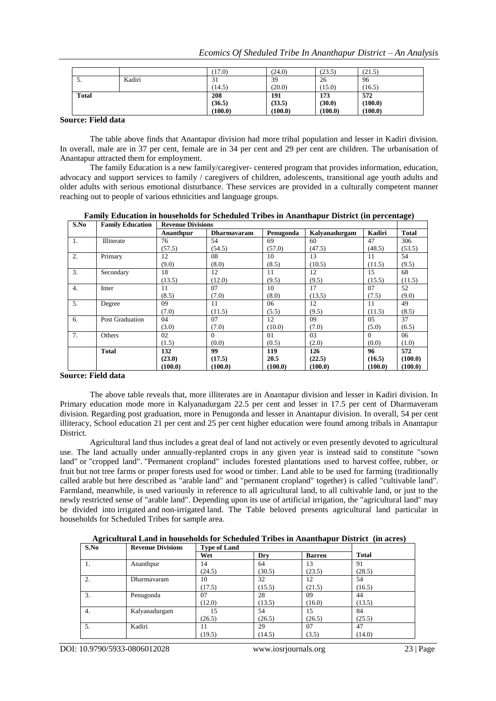|                    |        | (17.0)  | (24.0)  | (23.5)  | (21.5)  |  |
|--------------------|--------|---------|---------|---------|---------|--|
| J.                 | Kadiri | 31      | 39      | 26      | 96      |  |
|                    |        | (14.5)  | (20.0)  | (15.0)  | (16.5)  |  |
| <b>Total</b>       |        | 208     | 191     | 173     | 572     |  |
|                    |        | (36.5)  | (33.5)  | (30.0)  | (100.0) |  |
|                    |        | (100.0) | (100.0) | (100.0) | (100.0) |  |
| <b>THEFT THEFT</b> |        |         |         |         |         |  |

#### **Source: Field data**

The table above finds that Anantapur division had more tribal population and lesser in Kadiri division. In overall, male are in 37 per cent, female are in 34 per cent and 29 per cent are children. The urbanisation of Anantapur attracted them for employment.

The family Education is a new family/caregiver- centered program that provides information, education, advocacy and support services to family / caregivers of children, adolescents, transitional age youth adults and older adults with serious emotional disturbance. These services are provided in a culturally competent manner reaching out to people of various ethnicities and language groups.

**Family Education in households for Scheduled Tribes in Ananthapur District (in percentage)**

| S.No | <b>Family Education</b> | <b>Revenue Divisions</b> |                    |           |               |          |              |
|------|-------------------------|--------------------------|--------------------|-----------|---------------|----------|--------------|
|      |                         | Ananthpur                | <b>Dharmavaram</b> | Penugonda | Kalvanadurgam | Kadiri   | <b>Total</b> |
| 1.   | Illiterate              | 76                       | 54                 | 69        | 60            | 47       | 306          |
|      |                         | (57.5)                   | (54.5)             | (57.0)    | (47.5)        | (48.5)   | (53.5)       |
| 2.   | Primary                 | 12                       | 08                 | 10        | 13            | 11       | 54           |
|      |                         | (9.0)                    | (8.0)              | (8.5)     | (10.5)        | (11.5)   | (9.5)        |
| 3.   | Secondary               | 18                       | 12                 | 11        | 12            | 15       | 68           |
|      |                         | (13.5)                   | (12.0)             | (9.5)     | (9.5)         | (15.5)   | (11.5)       |
| 4.   | Inter                   | 11                       | 07                 | 10        | 17            | 07       | 52           |
|      |                         | (8.5)                    | (7.0)              | (8.0)     | (13.5)        | (7.5)    | (9.0)        |
| 5.   | Degree                  | 09                       | 11                 | 06        | 12            | 11       | 49           |
|      |                         | (7.0)                    | (11.5)             | (5.5)     | (9.5)         | (11.5)   | (8.5)        |
| 6.   | Post Graduation         | 04                       | 07                 | 12        | 09            | 05       | 37           |
|      |                         | (3.0)                    | (7.0)              | (10.0)    | (7.0)         | (5.0)    | (6.5)        |
| 7.   | Others                  | 02                       | $\Omega$           | 01        | 03            | $\Omega$ | 06           |
|      |                         | (1.5)                    | (0.0)              | (0.5)     | (2.0)         | (0.0)    | (1.0)        |
|      | <b>Total</b>            | 132                      | 99                 | 119       | 126           | 96       | 572          |
|      |                         | (23.0)                   | (17.5)             | 20.5      | (22.5)        | (16.5)   | (100.0)      |
|      |                         | (100.0)                  | (100.0)            | (100.0)   | (100.0)       | (100.0)  | (100.0)      |

## **Source: Field data**

The above table reveals that, more illiterates are in Anantapur division and lesser in Kadiri division. In Primary education mode more in Kalyanadurgam 22.5 per cent and lesser in 17.5 per cent of Dharmaveram division. Regarding post graduation, more in Penugonda and lesser in Anantapur division. In overall, 54 per cent illiteracy, School education 21 per cent and 25 per cent higher education were found among tribals in Anantapur District.

Agricultural land thus includes a great deal of land not actively or even presently devoted to agricultural use. The land actually under annually-replanted crops in any given year is instead said to constitute ["sown](https://en.wikipedia.org/wiki/Sown_land)  [land"](https://en.wikipedia.org/wiki/Sown_land) or ["cropped land"](https://en.wikipedia.org/wiki/Cropped_land). "Permanent cropland" includes forested plantations used to harvest [coffee,](https://en.wikipedia.org/wiki/Coffee_plantation) [rubber,](https://en.wikipedia.org/wiki/Rubber_plantation) or [fruit](https://en.wikipedia.org/wiki/Fruit_orchard) but not [tree farms](https://en.wikipedia.org/wiki/Tree_farm) or proper [forests](https://en.wikipedia.org/wiki/Forest) used for [wood](https://en.wikipedia.org/wiki/Wood) or [timber.](https://en.wikipedia.org/wiki/Timber) Land able to be used for farming (traditionally called arable but here described as "arable land" and "permanent cropland" together) is called "cultivable land". Farmland, meanwhile, is used variously in reference to all agricultural land, to all cultivable land, or just to the newly restricted sense of "arable land". Depending upon its use of artificial [irrigation,](https://en.wikipedia.org/wiki/Irrigation) the "agricultural land" may be divided into [irrigated](https://en.wikipedia.org/wiki/Irrigated_land) and [non-irrigated](https://en.wikipedia.org/wiki/Dryland_farming) land. The Table beloved presents agricultural land particular in households for Scheduled Tribes for sample area.

**Agricultural Land in households for Scheduled Tribes in Ananthapur District (in acres)** 

| S.No | <b>Revenue Divisions</b> |        | <b>Type of Land</b> |               |              |  |  |  |  |
|------|--------------------------|--------|---------------------|---------------|--------------|--|--|--|--|
|      |                          | Wet    | Dry                 | <b>Barren</b> | <b>Total</b> |  |  |  |  |
| 1.   | Ananthpur                | 14     | 64                  | 13            | 91           |  |  |  |  |
|      |                          | (24.5) | (30.5)              | (23.5)        | (28.5)       |  |  |  |  |
| 2.   | Dharmavaram              | 10     | 32                  | 12            | 54           |  |  |  |  |
|      |                          | (17.5) | (15.5)              | (21.5)        | (16.5)       |  |  |  |  |
| 3.   | Penugonda                | 07     | 28                  | 09            | 44           |  |  |  |  |
|      |                          | (12.0) | (13.5)              | (16.0)        | (13.5)       |  |  |  |  |
| 4.   | Kalyanadurgam            | 15     | 54                  | 15            | 84           |  |  |  |  |
|      |                          | (26.5) | (26.5)              | (26.5)        | (25.5)       |  |  |  |  |
| 5.   | Kadiri                   | 11     | 29                  | 07            | 47           |  |  |  |  |
|      |                          | (19.5) | (14.5)              | (3.5)         | (14.0)       |  |  |  |  |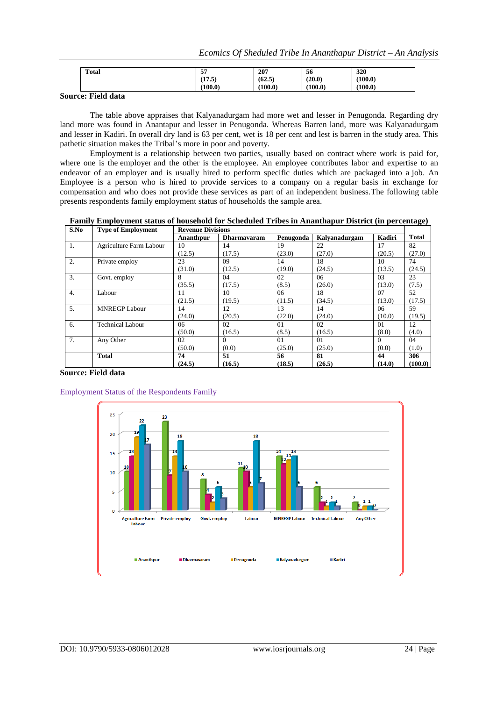| --<br>э, | 207               | 56                | 320               |
|----------|-------------------|-------------------|-------------------|
|          |                   |                   | (100.0)           |
|          |                   |                   |                   |
|          |                   |                   | (100.0)           |
|          | (17.5)<br>(100.0) | (62.5)<br>(100.0) | (20.0)<br>(100.0) |

# **Source: Field data**

The table above appraises that Kalyanadurgam had more wet and lesser in Penugonda. Regarding dry land more was found in Anantapur and lesser in Penugonda. Whereas Barren land, more was Kalyanadurgam and lesser in Kadiri. In overall dry land is 63 per cent, wet is 18 per cent and lest is barren in the study area. This pathetic situation makes the Tribal's more in poor and poverty.

Employment is a relationship between two [parties,](https://en.wikipedia.org/wiki/Party_(law)) usually based on contract where work is paid for, where one is the [employer](https://en.wikipedia.org/wiki/Employer) and the other is the [employee.](https://en.wikipedia.org/wiki/Employee) An employee contributes labor and expertise to an endeavor of an employer and is usually hired to perform specific duties which are packaged into a [job.](https://en.wikipedia.org/wiki/Job_(role)) An Employee is a person who is hired to provide services to a company on a regular basis in exchange for compensation and who does not provide these services as part of an independent business.The following table presents respondents family employment status of households the sample area.

**Family Employment status of household for Scheduled Tribes in Ananthapur District (in percentage)**

| S.No           | <b>Type of Employment</b> |           | <b>Revenue Divisions</b> |           |                      |          |              |  |  |  |  |
|----------------|---------------------------|-----------|--------------------------|-----------|----------------------|----------|--------------|--|--|--|--|
|                |                           | Ananthour | <b>Dharmavaram</b>       | Penugonda | <b>Kalvanadurgam</b> | Kadiri   | <b>Total</b> |  |  |  |  |
| 1.             | Agriculture Farm Labour   | 10        | 14                       | 19        | 22                   | 17       | 82           |  |  |  |  |
|                |                           | (12.5)    | (17.5)                   | (23.0)    | (27.0)               | (20.5)   | (27.0)       |  |  |  |  |
| 2.             | Private employ            | 23        | 09                       | 14        | 18                   | 10       | 74           |  |  |  |  |
|                |                           | (31.0)    | (12.5)                   | (19.0)    | (24.5)               | (13.5)   | (24.5)       |  |  |  |  |
| 3.             | Govt. employ              | 8         | 04                       | 02        | 06                   | 03       | 23           |  |  |  |  |
|                |                           | (35.5)    | (17.5)                   | (8.5)     | (26.0)               | (13.0)   | (7.5)        |  |  |  |  |
| 4.             | Labour                    | 11        | 10                       | 06        | 18                   | 07       | 52           |  |  |  |  |
|                |                           | (21.5)    | (19.5)                   | (11.5)    | (34.5)               | (13.0)   | (17.5)       |  |  |  |  |
| 5.             | <b>MNREGP Labour</b>      | 14        | 12                       | 13        | 14                   | 06       | 59           |  |  |  |  |
|                |                           | (24.0)    | (20.5)                   | (22.0)    | (24.0)               | (10.0)   | (19.5)       |  |  |  |  |
| 6.             | <b>Technical Labour</b>   | 06        | 02                       | 01        | 02                   | 01       | 12           |  |  |  |  |
|                |                           | (50.0)    | (16.5)                   | (8.5)     | (16.5)               | (8.0)    | (4.0)        |  |  |  |  |
| 7 <sub>1</sub> | Any Other                 | 02        | $\Omega$                 | 01        | 01                   | $\Omega$ | 04           |  |  |  |  |
|                |                           | (50.0)    | (0.0)                    | (25.0)    | (25.0)               | (0.0)    | (1.0)        |  |  |  |  |
|                | <b>Total</b>              | 74        | 51                       | 56        | 81                   | 44       | 306          |  |  |  |  |
|                |                           | (24.5)    | (16.5)                   | (18.5)    | (26.5)               | (14.0)   | (100.0)      |  |  |  |  |

## **Source: Field data**

Employment Status of the Respondents Family

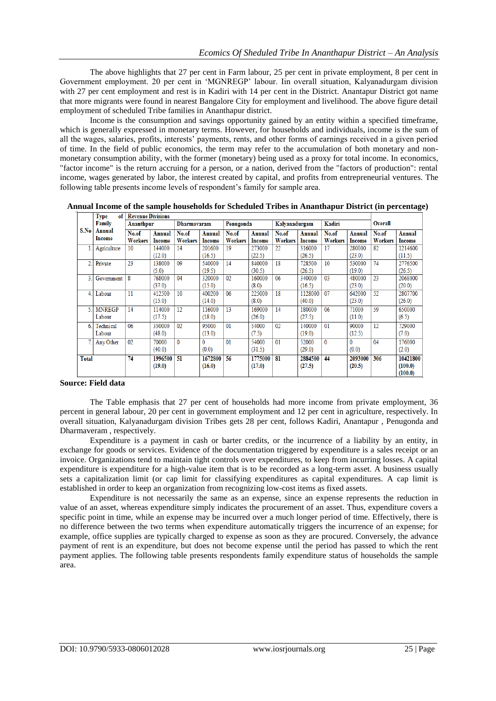The above highlights that 27 per cent in Farm labour, 25 per cent in private employment, 8 per cent in Government employment. 20 per cent in 'MGNREGP' labour. Iin overall situation, Kalyanadurgam division with 27 per cent employment and rest is in Kadiri with 14 per cent in the District. Anantapur District got name that more migrants were found in nearest Bangalore City for employment and livelihood. The above figure detail employment of scheduled Tribe families in Ananthapur district.

Income is the consumption and savings opportunity gained by an entity within a specified timeframe, which is generally expressed in monetary terms. However, for households and individuals, income is the sum of all the wages, salaries, profits, interests' payments, rents, and other forms of earnings received in a given period of time. In the field of [public economics,](https://en.wikipedia.org/wiki/Public_economics) the term may refer to the accumulation of both monetary and nonmonetary consumption ability, with the former (monetary) being used as a proxy for total income. In [economics,](https://en.wikipedia.org/wiki/Economics) ["factor income"](https://en.wikipedia.org/wiki/Factor_income) is the return accruing for a person, or a nation, derived from the "factors of production": rental income, wages generated by labor, the interest created by capital, and profits from entrepreneurial ventures. The following table presents income levels of respondent's family for sample area.

|               | 1 ype<br>ot l           | <b>Kevenue Divisions</b> |                   |                         |                         |                         |                         |                         |                         |                         |                         |                         |                                |
|---------------|-------------------------|--------------------------|-------------------|-------------------------|-------------------------|-------------------------|-------------------------|-------------------------|-------------------------|-------------------------|-------------------------|-------------------------|--------------------------------|
|               | Family                  | Ananthpur                |                   | <b>Dharmavaram</b>      |                         | Penugonda               |                         | Kalvanadurgam           |                         | Kadiri                  |                         | <b>Overall</b>          |                                |
| S.No          | Annual<br>Income        | No.of<br><b>Workers</b>  | Annual<br>Income  | No.of<br><b>Workers</b> | Annual<br><b>Income</b> | No.of<br><b>Workers</b> | Annual<br><b>Income</b> | No.of<br><b>Workers</b> | Annual<br><b>Income</b> | No.of<br><b>Workers</b> | <b>Annual</b><br>Income | No.of<br><b>Workers</b> | Annual<br><b>Income</b>        |
| 1.1           | Agriculture             | 10                       | 144000<br>(12.0)  | 14                      | 201600<br>(16.5)        | 19                      | 273000<br>(22.5)        | 22                      | 316000<br>(26.5)        | 17                      | 280000<br>(23.0)        | 82                      | 1214600<br>(11.5)              |
| 2.1           | Private                 | 23                       | 138000<br>(5.0)   | 09                      | 540000<br>(19.5)        | 14                      | 840000<br>(30.5)        | 18                      | 728500<br>(26.5)        | 10                      | 530000<br>(19.0)        | 74                      | 2776500<br>(26.5)              |
| 3.            | Government              | 8                        | 768000<br>(37.0)  | 04                      | 320000<br>(15.0)        | 02                      | 160000<br>(8.0)         | 06                      | 340000<br>(16.5)        | 03                      | 480000<br>(23.0)        | 23                      | 2068000<br>(20.0)              |
| 4.1           | Labour                  | 11                       | 412500<br>(15.0)  | 10                      | 400200<br>(14.0)        | 06                      | 225000<br>(8.0)         | 18                      | 1128000<br>(40.0)       | 07                      | 642000<br>(23.0)        | 52                      | 2807700<br>(26.0)              |
| $\mathcal{L}$ | <b>MNREGP</b><br>Labour | 14                       | 114000<br>(17.5)  | 12                      | 116000<br>(18.0)        | 13                      | 169000<br>(26.0)        | 14                      | 180000<br>(27.5)        | 06                      | 71000<br>(11.0)         | 59                      | 650000<br>(6.5)                |
| 6             | Technical<br>Labour     | 06                       | 350000<br>(48.0)  | 02                      | 95000<br>(13.0)         | 01                      | 54000<br>(7.5)          | 02                      | 140000<br>(19.0)        | 01                      | 90000<br>(12.5)         | 12                      | 729000<br>(7.0)                |
|               | Any Other               | 02                       | 70000<br>(40.0)   | $\mathbf{0}$            | $\Omega$<br>(0.0)       | 01                      | 54000<br>(31.5)         | 01                      | 52000<br>(29.0)         | $\mathbf{0}$            | 0<br>(0.0)              | 04                      | 176000<br>(2.0)                |
| <b>Total</b>  |                         | 74                       | 1996500<br>(19.0) | 51                      | 1672800<br>(16.0)       | 56                      | 1775000<br>(17.0)       | 81                      | 2884500<br>(27.5)       | 44                      | 2093000<br>(20.5)       | 306                     | 10421800<br>(100.0)<br>(100.0) |

**Annual Income of the sample households for Scheduled Tribes in Ananthapur District (in percentage)**

## **Source: Field data**

The Table emphasis that 27 per cent of households had more income from private employment, 36 percent in general labour, 20 per cent in government employment and 12 per cent in agriculture, respectively. In overall situation, Kalyanadurgam division Tribes gets 28 per cent, follows Kadiri, Anantapur , Penugonda and Dharmaveram , respectively.

Expenditure is a payment in cash or barter credits, or the incurrence of a liability by an entity, in exchange for goods or services. Evidence of the documentation triggered by expenditure is a sales receipt or an invoice. Organizations tend to maintain tight controls over expenditures, to keep from incurring losses. A capital expenditure is expenditure for a high-value item that is to be recorded as a long-term asset. A business usually sets a capitalization limit (or cap limit for classifying expenditures as capital expenditures. A cap limit is established in order to keep an organization from recognizing low-cost items as fixed assets.

Expenditure is not necessarily the same as an expense, since an expense represents the reduction in value of an asset, whereas expenditure simply indicates the procurement of an asset. Thus, expenditure covers a specific point in time, while an expense may be incurred over a much longer period of time. Effectively, there is no difference between the two terms when expenditure automatically triggers the incurrence of an expense; for example, office supplies are typically charged to expense as soon as they are procured. Conversely, the advance payment of rent is an expenditure, but does not become expense until the period has passed to which the rent payment applies. The following table presents respondents family expenditure status of households the sample area.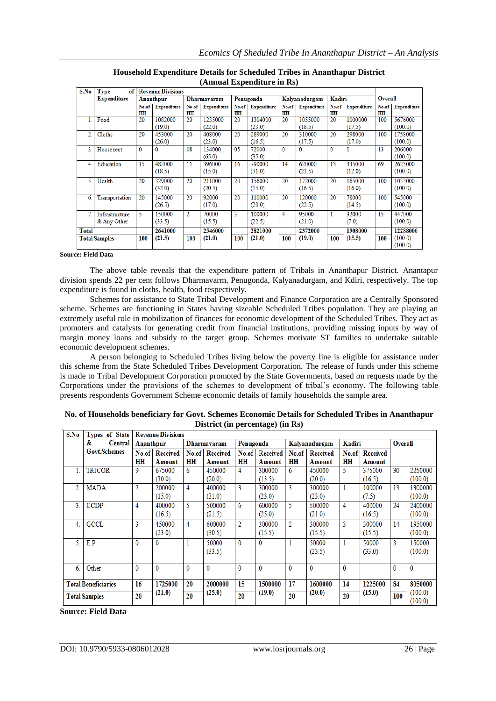| S.No           | <b>Type</b><br>of    |       | <b>Revenue Divisions</b> |                |                    |       |                    |              |                    |          |                    |         |                    |
|----------------|----------------------|-------|--------------------------|----------------|--------------------|-------|--------------------|--------------|--------------------|----------|--------------------|---------|--------------------|
|                | <b>Expenditure</b>   |       | Ananthpur                | Dharmavaram    |                    |       | Penugonda          |              | Kalvanadurgam      | Kadiri   |                    | Overall |                    |
|                |                      | No.of | <b>Expenditure</b>       | No.of          | <b>Expenditure</b> | No.of | <b>Expenditure</b> | No.of        | <b>Expenditure</b> | No.of    | <b>Expenditure</b> | No.of   | <b>Expenditure</b> |
|                |                      | HH    |                          | HH             |                    | HH    |                    | <b>HH</b>    |                    | HH       |                    | HH      |                    |
|                | Food                 | 20    | 1082000                  | 20             | 1235000            | 20    | 1304000            | 20           | 1055000            | 20       | 1000000            | 100     | 5676000            |
|                |                      |       | (19.0)                   |                | (22.0)             |       | (23.0)             |              | (18.5)             |          | (17.5)             |         | (100.0)            |
| $\overline{2}$ | Cloths               | 20    | 453000                   | 20             | 408000             | 20    | 289000             | 20           | 310000             | 20       | 298000             | 100     | 1758000            |
|                |                      |       | (26.0)                   |                | (23.0)             |       | (16.5)             |              | (17.5)             |          | (17.0)             |         | (100.0)            |
| 3              | House rent           | 0     | 0                        | 08             | 134000             | 05    | 72000              | $\mathbf{0}$ | $\mathbf{0}$       | $\Omega$ | $\Omega$           | 13      | 206000             |
|                |                      |       |                          |                | (65.0)             |       | (35.0)             |              |                    |          |                    |         | (100.0)            |
| 4.             | Education            | 15    | 482000                   | 11             | 396000             | 16    | 790000             | 14           | 620000             | 13       | 335000             | 69      | 2623000            |
|                |                      |       | (18.5)                   |                | (15.0)             |       | (31.0)             |              | (23.5)             |          | (12.0)             |         | (100.0)            |
| 5.             | Health               | 20    | 329000                   | 20             | 211000             | 20    | 156000             | 20           | 172000             | 20       | 165000             | 100     | 1033000            |
|                |                      |       | (32.0)                   |                | (20.5)             |       | (15.0)             |              | (16.5)             |          | (16.0)             |         | (100.0)            |
| 6.             | Transportation       | 20    | 145000                   | 20             | 92000              | 20    | 110000             | 20           | 120000             | 20       | 78000              | 100     | 545000             |
|                |                      |       | (26.5)                   |                | (17.0)             |       | (20.0)             |              | (22.5)             |          | (14.5)             |         | (100.0)            |
| 7              | Infrastructure       | 5     | 150000                   | $\overline{2}$ | 70000              | 3     | 100000             | 4            | 95000              | 1        | 32000              | 15      | 447000             |
|                | & Any Other          |       | (33.5)                   |                | (15.5)             |       | (22.5)             |              | (21.0)             |          | (7.0)              |         | (100.0)            |
| <b>Total</b>   |                      |       | 2641000                  |                | 2546000            |       | 2821000            |              | 2372000            |          | 1908000            |         | 12288000           |
|                | <b>Total Samples</b> | 100   | (21.5)                   | 100            | (21.0)             | 100   | (21.0)             | 100          | (19.0)             | 100      | (15.5)             | 100     | (100.0)            |
|                |                      |       |                          |                |                    |       |                    |              |                    |          |                    |         | (100.0)            |

**Household Expenditure Details for Scheduled Tribes in Ananthapur District (Annual Expenditure in Rs)**

#### **Source: Field Data**

The above table reveals that the expenditure pattern of Tribals in Ananthapur District. Anantapur division spends 22 per cent follows Dharmavarm, Penugonda, Kalyanadurgam, and Kdiri, respectively. The top expenditure is found in cloths, health, food respectively.

Schemes for assistance to State Tribal Development and Finance Corporation are a Centrally Sponsored scheme. Schemes are functioning in States having sizeable Scheduled Tribes population. They are playing an extremely useful role in mobilization of finances for economic development of the Scheduled Tribes. They act as promoters and catalysts for generating credit from financial institutions, providing missing inputs by way of margin money loans and subsidy to the target group. Schemes motivate ST families to undertake suitable economic development schemes.

A person belonging to Scheduled Tribes living below the poverty line is eligible for assistance under this scheme from the State Scheduled Tribes Development Corporation. The release of funds under this scheme is made to Tribal Development Corporation promoted by the State Governments, based on requests made by the Corporations under the provisions of the schemes to development of tribal's economy. The following table presents respondents Government Scheme economic details of family households the sample area.

| S.No           | Types of State             |                | <b>Revenue Divisions</b> |             |                 |                |                 |              |                 |        |                 |                |              |  |
|----------------|----------------------------|----------------|--------------------------|-------------|-----------------|----------------|-----------------|--------------|-----------------|--------|-----------------|----------------|--------------|--|
|                | &<br>Central               | Ananthpur      |                          | Dharmavaram |                 | Penugonda      |                 |              | Kalyanadurgam   | Kadiri |                 | <b>Overall</b> |              |  |
|                | <b>Govt.Schemes</b>        | No.of          | <b>Received</b>          | No.of       | <b>Received</b> | No.of          | <b>Received</b> | No.of        | <b>Received</b> | No.of  | <b>Received</b> |                |              |  |
|                |                            | HН             | Amount                   | HН          | Amount          | HН             | Amount          | HН           | Amount          | HН     | Amount          |                |              |  |
|                | <b>TRICOR</b>              | 9              | 675000                   | 6           | 450000          | 4              | 300000          | 6            | 450000          | 5.     | 375000          | 30             | 2250000      |  |
|                |                            |                | (30.0)                   |             | (20.0)          |                | (13.5)          |              | (20.0)          |        | (16.5)          |                | (100.0)      |  |
| $\overline{2}$ | <b>MADA</b>                | $\overline{2}$ | 200000                   | 4           | 400000          | 3              | 300000          | 3            | 300000          |        | 100000          | 13             | 1300000      |  |
|                |                            |                | (15.0)                   |             | (31.0)          |                | (23.0)          |              | (23.0)          |        | (7.5)           |                | (100.0)      |  |
| 3 <sub>1</sub> | <b>CCDP</b>                | 4              | 400000                   | 5           | 500000          | 6              | 600000          | 5            | 500000          | 4      | 400000          | 24             | 2400000      |  |
|                |                            |                | (16.5)                   |             | (21.5)          |                | (25.0)          |              | (21.0)          |        | (16.5)          |                | (100.0)      |  |
| 4 <sup>1</sup> | <b>GCCL</b>                | 3              | 450000                   | 4           | 600000          | $\overline{2}$ | 300000          | 2            | 300000          | 3      | 300000          | 14             | 1950000      |  |
|                |                            |                | (23.0)                   |             | (30.5)          |                | (15.5)          |              | (15.5)          |        | (15.5)          |                | (100.0)      |  |
| 5.             | E.P                        | $\mathbf{0}$   | $\mathbf{0}$             |             | 50000           | $\mathbf{0}$   | $\mathbf{0}$    |              | 50000           |        | 50000           | 3              | 150000       |  |
|                |                            |                |                          |             | (33.5)          |                |                 |              | (23.5)          |        | (33.0)          |                | (100.0)      |  |
|                |                            |                |                          |             |                 |                |                 |              |                 |        |                 |                |              |  |
| 6.             | Other                      | 0              | $\mathbf{0}$             | 0           | 0               | 0              | $\mathbf{0}$    | $\mathbf{0}$ | 0               | 0      |                 | 0              | $\mathbf{0}$ |  |
|                |                            |                |                          |             |                 |                |                 |              |                 |        |                 |                |              |  |
|                | <b>Total Beneficiaries</b> | 16             | 1725000                  | 20          | 2000000         | 15             | 1500000         | 17           | 1600000         | 14     | 1225000         | 84             | 8050000      |  |
|                | <b>Total Samples</b>       |                | (21.0)                   | 20          | (25.0)          | 20             | (19.0)          | 20           | (20.0)          | 20     | (15.0)          | 100            | (100.0)      |  |
|                |                            |                |                          |             |                 |                |                 |              |                 |        |                 |                | (100.0)      |  |

| No. of Households beneficiary for Govt. Schemes Economic Details for Scheduled Tribes in Ananthapur |
|-----------------------------------------------------------------------------------------------------|
| District (in percentage) (in Rs)                                                                    |

## **Source: Field Data**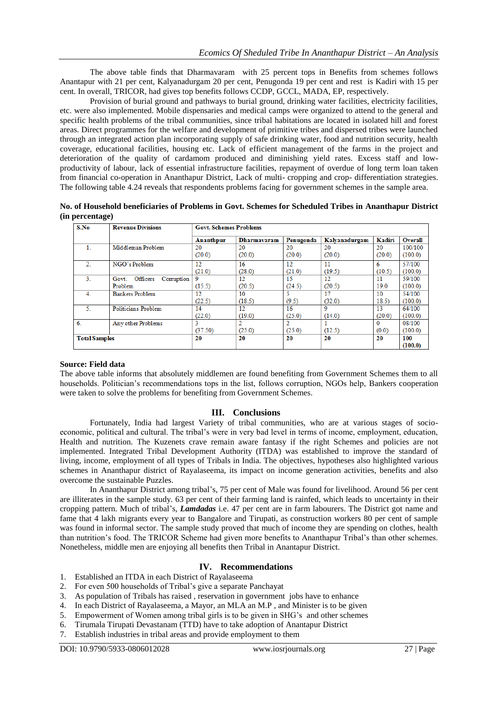The above table finds that Dharmavaram with 25 percent tops in Benefits from schemes follows Anantapur with 21 per cent, Kalyanadurgam 20 per cent, Penugonda 19 per cent and rest is Kadiri with 15 per cent. In overall, TRICOR, had gives top benefits follows CCDP, GCCL, MADA, EP, respectively.

Provision of burial ground and pathways to burial ground, drinking water facilities, electricity facilities, etc. were also implemented. Mobile dispensaries and medical camps were organized to attend to the general and specific health problems of the tribal communities, since tribal habitations are located in isolated hill and forest areas. Direct programmes for the welfare and development of primitive tribes and dispersed tribes were launched through an integrated action plan incorporating supply of safe drinking water, food and nutrition security, health coverage, educational facilities, housing etc. Lack of efficient management of the farms in the project and deterioration of the quality of cardamom produced and diminishing yield rates. Excess staff and lowproductivity of labour, lack of essential infrastructure facilities, repayment of overdue of long term loan taken from financial co-operation in Ananthapur District, Lack of multi- cropping and crop- differentiation strategies. The following table 4.24 reveals that respondents problems facing for government schemes in the sample area.

| No. of Household beneficiaries of Problems in Govt. Schemes for Scheduled Tribes in Ananthapur District |  |  |  |  |
|---------------------------------------------------------------------------------------------------------|--|--|--|--|
| (in percentage)                                                                                         |  |  |  |  |

| S.No                 | <b>Revenue Divisions</b>                   | <b>Govt. Schemes Problems</b> |                    |              |               |              |                    |  |  |
|----------------------|--------------------------------------------|-------------------------------|--------------------|--------------|---------------|--------------|--------------------|--|--|
|                      |                                            | Ananthpur                     | <b>Dharmayaram</b> | Penugonda    | Kalyanadurgam | Kadiri       | <b>Overall</b>     |  |  |
|                      | Middleman Problem                          | 20<br>(20.0)                  | 20<br>(20.0)       | 20<br>(20.0) | 20<br>(20.0)  | 20<br>(20.0) | 100/100<br>(100.0) |  |  |
| $\overline{2}$       | NGO's Problem                              | 12<br>(21.0)                  | 16<br>(28.0)       | 12<br>(21.0) | 11<br>(19.5)  | 6<br>(10.5)  | 57/100<br>(100.0)  |  |  |
| 3 <sub>1</sub>       | Officers<br>Corruption<br>Govt.<br>Problem | 9<br>(15.5)                   | 12<br>(20.5)       | 15<br>(24.5) | 12<br>(20.5)  | 11<br>19.0   | 59/100<br>(100.0)  |  |  |
| 4.                   | <b>Bankers Problem</b>                     | 12<br>(22.5)                  | 10<br>(18.5)       | (9.5)        | 17<br>(32.0)  | 10<br>18.5)  | 54/100<br>(100.0)  |  |  |
| 5.                   | Politicians Problem                        | 14<br>(22.0)                  | 12<br>(19.0)       | 16<br>(25.0) | 9<br>(14.0)   | 13<br>(20.0) | 64/100<br>(100.0)  |  |  |
| 6 <sub>1</sub>       | Any other Problems                         | 3<br>(37.50)                  | 2<br>(25.0)        | (25.0)       | (12.5)        | 0<br>(0.0)   | 08/100<br>(100.0)  |  |  |
| <b>Total Samples</b> |                                            | 20                            | 20                 | 20           | 20            | 20           | 100<br>(100.0)     |  |  |

## **Source: Field data**

The above table informs that absolutely middlemen are found benefiting from Government Schemes them to all households. Politician's recommendations tops in the list, follows corruption, NGOs help, Bankers cooperation were taken to solve the problems for benefiting from Government Schemes.

## **III. Conclusions**

Fortunately, India had largest Variety of tribal communities, who are at various stages of socioeconomic, political and cultural. The tribal's were in very bad level in terms of income, employment, education, Health and nutrition. The Kuzenets crave remain aware fantasy if the right Schemes and policies are not implemented. Integrated Tribal Development Authority (ITDA) was established to improve the standard of living, income, employment of all types of Tribals in India. The objectives, hypotheses also highlighted various schemes in Ananthapur district of Rayalaseema, its impact on income generation activities, benefits and also overcome the sustainable Puzzles.

In Ananthapur District among tribal's, 75 per cent of Male was found for livelihood. Around 56 per cent are illiterates in the sample study. 63 per cent of their farming land is rainfed, which leads to uncertainty in their cropping pattern. Much of tribal's, *Lamdadas* i.e. 47 per cent are in farm labourers. The District got name and fame that 4 lakh migrants every year to Bangalore and Tirupati, as construction workers 80 per cent of sample was found in informal sector. The sample study proved that much of income they are spending on clothes, health than nutrition's food. The TRICOR Scheme had given more benefits to Ananthapur Tribal's than other schemes. Nonetheless, middle men are enjoying all benefits then Tribal in Anantapur District.

## **IV. Recommendations**

- 1. Established an ITDA in each District of Rayalaseema
- 2. For even 500 households of Tribal's give a separate Panchayat
- 3. As population of Tribals has raised , reservation in government jobs have to enhance
- 4. In each District of Rayalaseema, a Mayor, an MLA an M.P , and Minister is to be given
- 5. Empowerment of Women among tribal girls is to be given in SHG's and other schemes
- 6. Tirumala Tirupati Devastanam (TTD) have to take adoption of Anantapur District
- 7. Establish industries in tribal areas and provide employment to them